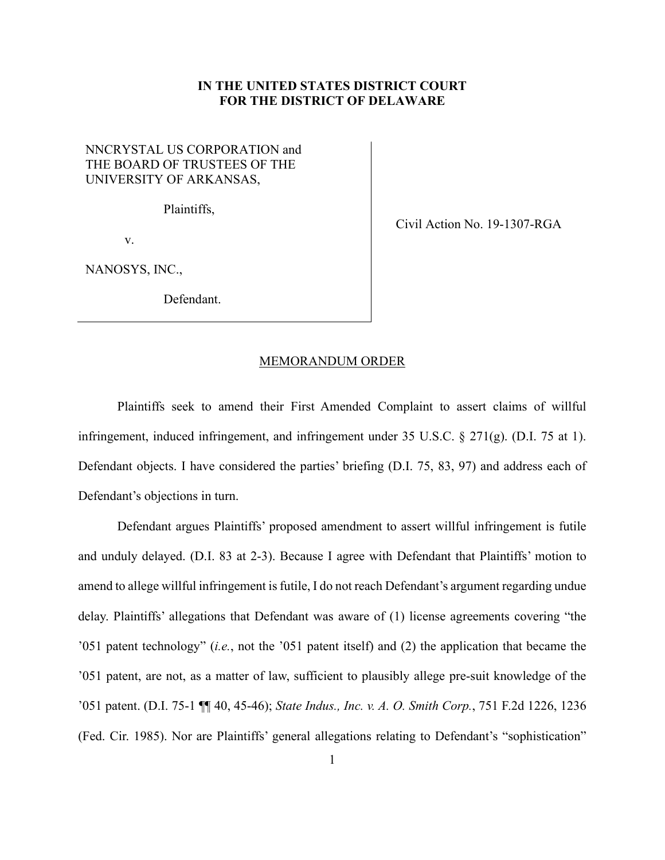## **IN THE UNITED STATES DISTRICT COURT FOR THE DISTRICT OF DELAWARE**

## NNCRYSTAL US CORPORATION and THE BOARD OF TRUSTEES OF THE UNIVERSITY OF ARKANSAS,

Plaintiffs,

v.

NANOSYS, INC.,

Defendant.

Civil Action No. 19-1307-RGA

## MEMORANDUM ORDER

Plaintiffs seek to amend their First Amended Complaint to assert claims of willful infringement, induced infringement, and infringement under 35 U.S.C. § 271(g). (D.I. 75 at 1). Defendant objects. I have considered the parties' briefing (D.I. 75, 83, 97) and address each of Defendant's objections in turn.

Defendant argues Plaintiffs' proposed amendment to assert willful infringement is futile and unduly delayed. (D.I. 83 at 2-3). Because I agree with Defendant that Plaintiffs' motion to amend to allege willful infringement is futile, I do not reach Defendant's argument regarding undue delay. Plaintiffs' allegations that Defendant was aware of (1) license agreements covering "the '051 patent technology" (*i.e.*, not the '051 patent itself) and (2) the application that became the '051 patent, are not, as a matter of law, sufficient to plausibly allege pre-suit knowledge of the '051 patent. (D.I. 75-1 ¶¶ 40, 45-46); *State Indus., Inc. v. A. O. Smith Corp.*, 751 F.2d 1226, 1236 (Fed. Cir. 1985). Nor are Plaintiffs' general allegations relating to Defendant's "sophistication"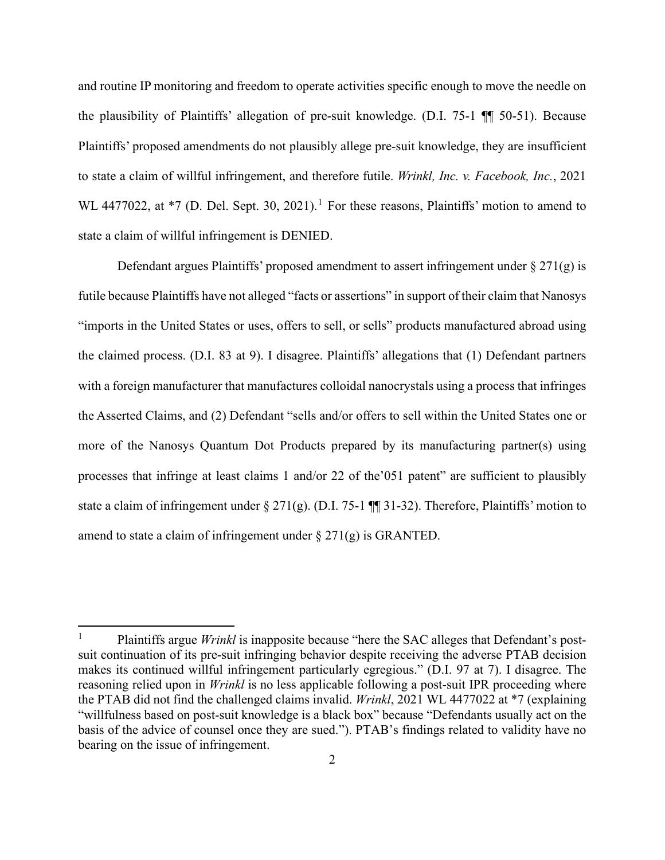and routine IP monitoring and freedom to operate activities specific enough to move the needle on the plausibility of Plaintiffs' allegation of pre-suit knowledge. (D.I. 75-1 ¶¶ 50-51). Because Plaintiffs' proposed amendments do not plausibly allege pre-suit knowledge, they are insufficient to state a claim of willful infringement, and therefore futile. *Wrinkl, Inc. v. Facebook, Inc.*, 2021 WL 4477022, at  $*7$  (D. Del. Sept. 30, 202[1](#page-1-0)).<sup>1</sup> For these reasons, Plaintiffs' motion to amend to state a claim of willful infringement is DENIED.

Defendant argues Plaintiffs' proposed amendment to assert infringement under  $\S 271(g)$  is futile because Plaintiffs have not alleged "facts or assertions" in support of their claim that Nanosys "imports in the United States or uses, offers to sell, or sells" products manufactured abroad using the claimed process. (D.I. 83 at 9). I disagree. Plaintiffs' allegations that (1) Defendant partners with a foreign manufacturer that manufactures colloidal nanocrystals using a process that infringes the Asserted Claims, and (2) Defendant "sells and/or offers to sell within the United States one or more of the Nanosys Quantum Dot Products prepared by its manufacturing partner(s) using processes that infringe at least claims 1 and/or 22 of the'051 patent" are sufficient to plausibly state a claim of infringement under § 271(g). (D.I. 75-1 ¶¶ 31-32). Therefore, Plaintiffs' motion to amend to state a claim of infringement under  $\S 271(g)$  is GRANTED.

<span id="page-1-0"></span><sup>1</sup> Plaintiffs argue *Wrinkl* is inapposite because "here the SAC alleges that Defendant's postsuit continuation of its pre-suit infringing behavior despite receiving the adverse PTAB decision makes its continued willful infringement particularly egregious." (D.I. 97 at 7). I disagree. The reasoning relied upon in *Wrinkl* is no less applicable following a post-suit IPR proceeding where the PTAB did not find the challenged claims invalid. *Wrinkl*, 2021 WL 4477022 at \*7 (explaining "willfulness based on post-suit knowledge is a black box" because "Defendants usually act on the basis of the advice of counsel once they are sued."). PTAB's findings related to validity have no bearing on the issue of infringement.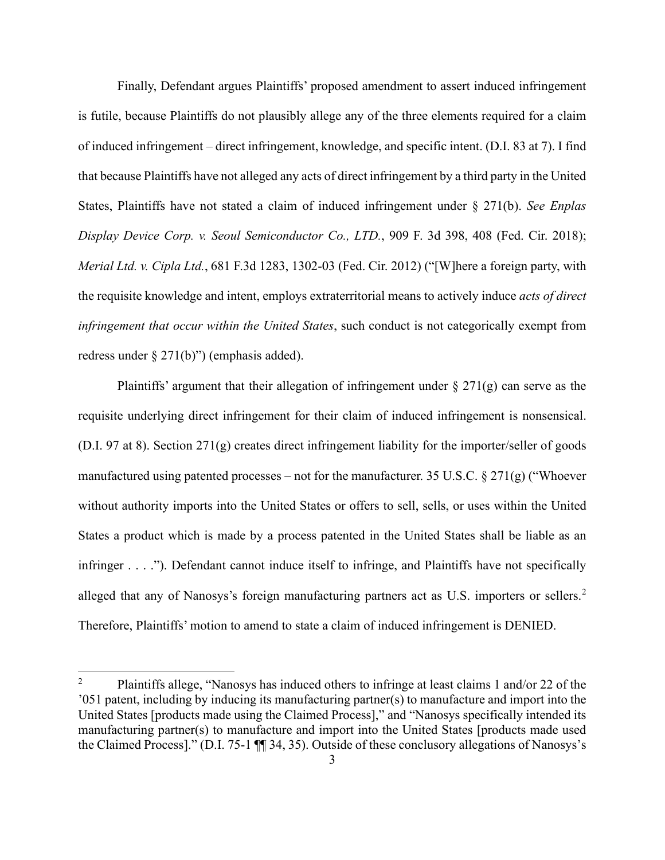Finally, Defendant argues Plaintiffs' proposed amendment to assert induced infringement is futile, because Plaintiffs do not plausibly allege any of the three elements required for a claim of induced infringement – direct infringement, knowledge, and specific intent. (D.I. 83 at 7). I find that because Plaintiffs have not alleged any acts of direct infringement by a third party in the United States, Plaintiffs have not stated a claim of induced infringement under § 271(b). *See Enplas Display Device Corp. v. Seoul Semiconductor Co., LTD.*, 909 F. 3d 398, 408 (Fed. Cir. 2018); *Merial Ltd. v. Cipla Ltd.*, 681 F.3d 1283, 1302-03 (Fed. Cir. 2012) ("[W]here a foreign party, with the requisite knowledge and intent, employs extraterritorial means to actively induce *acts of direct infringement that occur within the United States*, such conduct is not categorically exempt from redress under § 271(b)") (emphasis added).

Plaintiffs' argument that their allegation of infringement under  $\S 271(g)$  can serve as the requisite underlying direct infringement for their claim of induced infringement is nonsensical. (D.I. 97 at 8). Section 271(g) creates direct infringement liability for the importer/seller of goods manufactured using patented processes – not for the manufacturer. 35 U.S.C.  $\S 271(g)$  ("Whoever without authority imports into the United States or offers to sell, sells, or uses within the United States a product which is made by a process patented in the United States shall be liable as an infringer . . . ."). Defendant cannot induce itself to infringe, and Plaintiffs have not specifically alleged that any of Nanosys's foreign manufacturing partners act as U.S. importers or sellers.<sup>[2](#page-2-0)</sup> Therefore, Plaintiffs' motion to amend to state a claim of induced infringement is DENIED.

<span id="page-2-0"></span><sup>2</sup> Plaintiffs allege, "Nanosys has induced others to infringe at least claims 1 and/or 22 of the '051 patent, including by inducing its manufacturing partner(s) to manufacture and import into the United States [products made using the Claimed Process]," and "Nanosys specifically intended its manufacturing partner(s) to manufacture and import into the United States [products made used the Claimed Process]." (D.I. 75-1 ¶¶ 34, 35). Outside of these conclusory allegations of Nanosys's